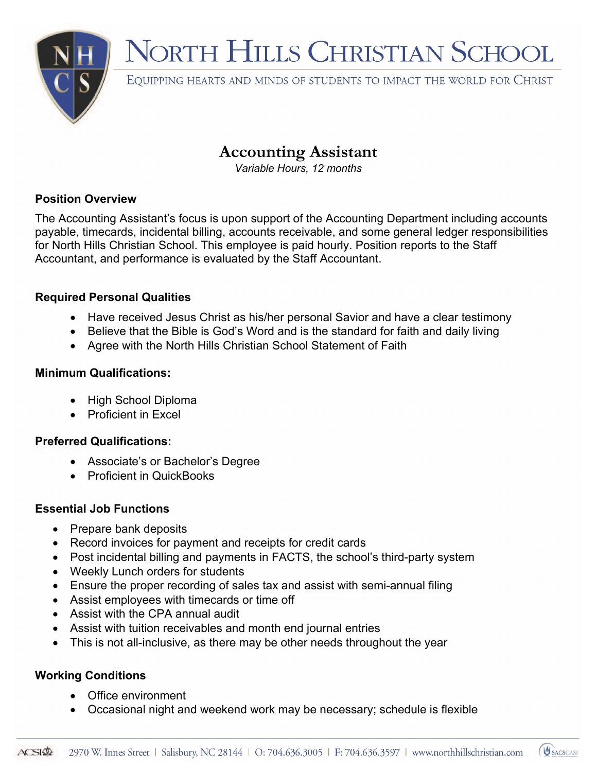

# NORTH HILLS CHRISTIAN SCHOOL

EQUIPPING HEARTS AND MINDS OF STUDENTS TO IMPACT THE WORLD FOR CHRIST

# **Accounting Assistant**

*Variable Hours, 12 months*

#### **Position Overview**

The Accounting Assistant's focus is upon support of the Accounting Department including accounts payable, timecards, incidental billing, accounts receivable, and some general ledger responsibilities for North Hills Christian School. This employee is paid hourly. Position reports to the Staff Accountant, and performance is evaluated by the Staff Accountant.

#### **Required Personal Qualities**

- Have received Jesus Christ as his/her personal Savior and have a clear testimony
- Believe that the Bible is God's Word and is the standard for faith and daily living
- Agree with the North Hills Christian School Statement of Faith

#### **Minimum Qualifications:**

- High School Diploma
- Proficient in Excel

## **Preferred Qualifications:**

- Associate's or Bachelor's Degree
- Proficient in QuickBooks

## **Essential Job Functions**

- Prepare bank deposits
- Record invoices for payment and receipts for credit cards
- Post incidental billing and payments in FACTS, the school's third-party system
- Weekly Lunch orders for students
- Ensure the proper recording of sales tax and assist with semi-annual filing
- Assist employees with timecards or time off
- Assist with the CPA annual audit
- Assist with tuition receivables and month end journal entries
- This is not all-inclusive, as there may be other needs throughout the year

## **Working Conditions**

- Office environment
- Occasional night and weekend work may be necessary; schedule is flexible